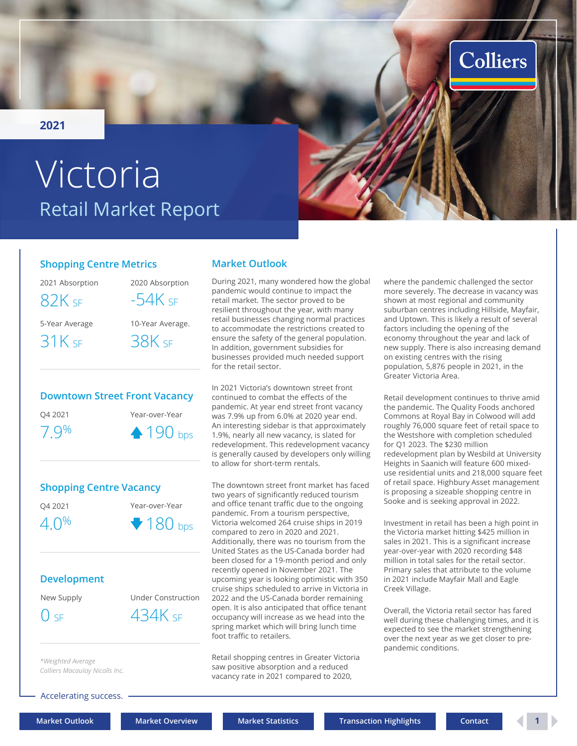<span id="page-0-0"></span>**2021**

# Retail Market Report Victoria

#### **Shopping Centre Metrics**

2021 Absorption 2020 Absorption

 $82K$  sF  $-54K$ 

5-Year Average

 $31K$  SF

| -54K sf          |
|------------------|
| 10-Year Average. |
| $38K$ sf         |
|                  |

## **Downtown Street Front Vacancy** Q4 2021 Year-over-Year 7.9%  $\bullet$  190 bps



#### **Development**

New Supply Under Construction  $0$  sf  $434K$  sf

*\*Weighted Average Colliers Macaulay Nicolls Inc.*

Accelerating success.

### **Market Outlook**

During 2021, many wondered how the global pandemic would continue to impact the retail market. The sector proved to be resilient throughout the year, with many retail businesses changing normal practices to accommodate the restrictions created to ensure the safety of the general population. In addition, government subsidies for businesses provided much needed support for the retail sector.

In 2021 Victoria's downtown street front continued to combat the effects of the pandemic. At year end street front vacancy was 7.9% up from 6.0% at 2020 year end. An interesting sidebar is that approximately 1.9%, nearly all new vacancy, is slated for redevelopment. This redevelopment vacancy is generally caused by developers only willing to allow for short-term rentals.

The downtown street front market has faced two years of significantly reduced tourism and office tenant traffic due to the ongoing pandemic. From a tourism perspective, Victoria welcomed 264 cruise ships in 2019 compared to zero in 2020 and 2021. Additionally, there was no tourism from the United States as the US-Canada border had been closed for a 19-month period and only recently opened in November 2021. The upcoming year is looking optimistic with 350 cruise ships scheduled to arrive in Victoria in 2022 and the US-Canada border remaining open. It is also anticipated that office tenant occupancy will increase as we head into the spring market which will bring lunch time foot traffic to retailers.

Retail shopping centres in Greater Victoria saw positive absorption and a reduced vacancy rate in 2021 compared to 2020,

where the pandemic challenged the sector more severely. The decrease in vacancy was shown at most regional and community suburban centres including Hillside, Mayfair, and Uptown. This is likely a result of several factors including the opening of the economy throughout the year and lack of new supply. There is also increasing demand on existing centres with the rising population, 5,876 people in 2021, in the Greater Victoria Area.

Colliers

Retail development continues to thrive amid the pandemic. The Quality Foods anchored Commons at Royal Bay in Colwood will add roughly 76,000 square feet of retail space to the Westshore with completion scheduled for Q1 2023. The \$230 million redevelopment plan by Wesbild at University Heights in Saanich will feature 600 mixeduse residential units and 218,000 square feet of retail space. Highbury Asset management is proposing a sizeable shopping centre in Sooke and is seeking approval in 2022.

Investment in retail has been a high point in the Victoria market hitting \$425 million in sales in 2021. This is a significant increase year-over-year with 2020 recording \$48 million in total sales for the retail sector. Primary sales that attribute to the volume in 2021 include Mayfair Mall and Eagle Creek Village.

Overall, the Victoria retail sector has fared well during these challenging times, and it is expected to see the market strengthening over the next year as we get closer to prepandemic conditions.

**[Market Outlook](#page-0-0) [Market Overview](#page-1-0) [Market Statistics](#page-2-0) [Transaction Highlights](#page-2-0) [Contact](#page-3-0) 1**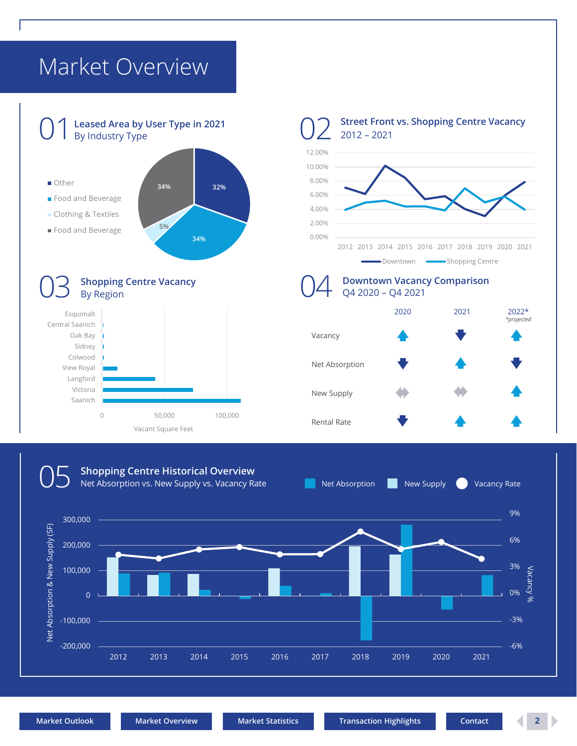## <span id="page-1-0"></span>Market Overview



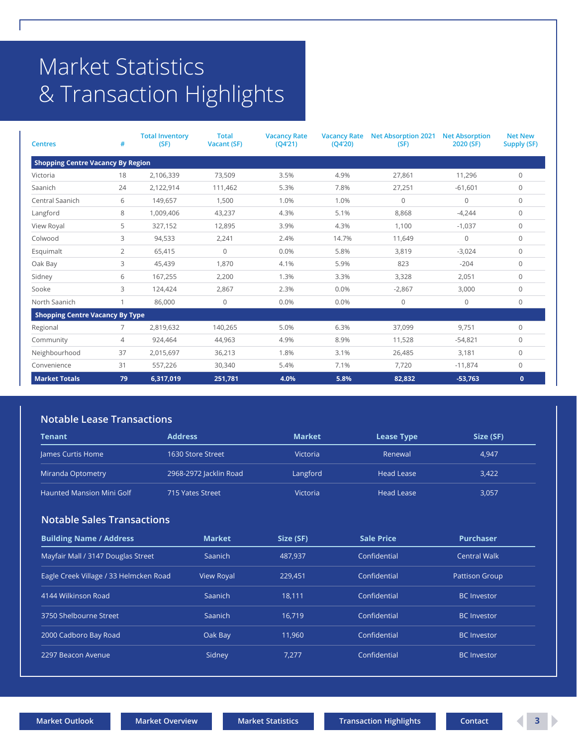# <span id="page-2-0"></span>Market Statistics & Transaction Highlights

| <b>Centres</b>                           | #              | <b>Total Inventory</b><br>(SF) | <b>Total</b><br><b>Vacant (SF)</b> | <b>Vacancy Rate</b><br>(Q4'21) | <b>Vacancy Rate</b><br>(Q4'20) | <b>Net Absorption 2021</b><br>(SF) | <b>Net Absorption</b><br>2020 (SF) | <b>Net New</b><br><b>Supply (SF)</b> |  |  |
|------------------------------------------|----------------|--------------------------------|------------------------------------|--------------------------------|--------------------------------|------------------------------------|------------------------------------|--------------------------------------|--|--|
| <b>Shopping Centre Vacancy By Region</b> |                |                                |                                    |                                |                                |                                    |                                    |                                      |  |  |
| Victoria                                 | 18             | 2,106,339                      | 73,509                             | 3.5%                           | 4.9%                           | 27,861                             | 11,296                             | $\Omega$                             |  |  |
| Saanich                                  | 24             | 2,122,914                      | 111,462                            | 5.3%                           | 7.8%                           | 27,251                             | $-61,601$                          | $\mathbf{0}$                         |  |  |
| Central Saanich                          | 6              | 149,657                        | 1,500                              | 1.0%                           | 1.0%                           | $\mathbf 0$                        | 0                                  | $\mathbf{0}$                         |  |  |
| Langford                                 | 8              | 1,009,406                      | 43,237                             | 4.3%                           | 5.1%                           | 8,868                              | $-4,244$                           | $\mathbf{0}$                         |  |  |
| View Royal                               | 5              | 327,152                        | 12,895                             | 3.9%                           | 4.3%                           | 1,100                              | $-1,037$                           | $\mathbf{0}$                         |  |  |
| Colwood                                  | 3              | 94,533                         | 2,241                              | 2.4%                           | 14.7%                          | 11,649                             | $\mathbf{0}$                       | $\mathbf{0}$                         |  |  |
| Esquimalt                                | 2              | 65,415                         | $\mathsf{O}\xspace$                | 0.0%                           | 5.8%                           | 3,819                              | $-3,024$                           | $\mathbf{0}$                         |  |  |
| Oak Bay                                  | 3              | 45,439                         | 1,870                              | 4.1%                           | 5.9%                           | 823                                | $-204$                             | $\mathbf{0}$                         |  |  |
| Sidney                                   | 6              | 167,255                        | 2,200                              | 1.3%                           | 3.3%                           | 3,328                              | 2,051                              | $\mathbf{0}$                         |  |  |
| Sooke                                    | 3              | 124,424                        | 2,867                              | 2.3%                           | 0.0%                           | $-2,867$                           | 3,000                              | $\Omega$                             |  |  |
| North Saanich                            |                | 86,000                         | $\mathbf{0}$                       | 0.0%                           | 0.0%                           | $\mathbf 0$                        | $\mathbf 0$                        | $\mathbf{0}$                         |  |  |
| <b>Shopping Centre Vacancy By Type</b>   |                |                                |                                    |                                |                                |                                    |                                    |                                      |  |  |
| Regional                                 | 7              | 2,819,632                      | 140,265                            | 5.0%                           | 6.3%                           | 37,099                             | 9,751                              | $\mathbf{0}$                         |  |  |
| Community                                | $\overline{4}$ | 924,464                        | 44,963                             | 4.9%                           | 8.9%                           | 11,528                             | $-54,821$                          | $\mathbf{0}$                         |  |  |
| Neighbourhood                            | 37             | 2,015,697                      | 36,213                             | 1.8%                           | 3.1%                           | 26,485                             | 3,181                              | $\mathbf{0}$                         |  |  |
| Convenience                              | 31             | 557,226                        | 30,340                             | 5.4%                           | 7.1%                           | 7,720                              | $-11,874$                          | $\Omega$                             |  |  |
| <b>Market Totals</b>                     | 79             | 6,317,019                      | 251,781                            | 4.0%                           | 5.8%                           | 82,832                             | $-53,763$                          | $\mathbf{0}$                         |  |  |

#### **Notable Lease Transactions**

| Tenant                           | <b>Address</b>         | <b>Market</b> | <b>Lease Type</b> | Size (SF) |
|----------------------------------|------------------------|---------------|-------------------|-----------|
| James Curtis Home                | 1630 Store Street      | Victoria      | Renewal           | 4,947     |
| Miranda Optometry                | 2968-2972 Jacklin Road | Langford      | Head Lease        | 3,422     |
| <b>Haunted Mansion Mini Golf</b> | 715 Yates Street       | Victoria      | Head Lease        | 3,057     |

#### **Notable Sales Transactions**

| <b>Building Name / Address</b>         | <b>Market</b>     | Size (SF) | <b>Sale Price</b> | <b>Purchaser</b>      |
|----------------------------------------|-------------------|-----------|-------------------|-----------------------|
| Mayfair Mall / 3147 Douglas Street     | <b>Saanich</b>    | 487.937   | Confidential      | <b>Central Walk</b>   |
| Eagle Creek Village / 33 Helmcken Road | <b>View Royal</b> | 229,451   | Confidential      | <b>Pattison Group</b> |
| 4144 Wilkinson Road                    | Saanich           | 18.111    | Confidential      | <b>BC</b> Investor    |
| 3750 Shelbourne Street                 | Saanich           | 16.719    | Confidential      | BC Investor           |
| 2000 Cadboro Bay Road                  | Oak Bay           | 11.960    | Confidential      | <b>BC</b> Investor    |
| 2297 Beacon Avenue                     | Sidney            | 7.277     | Confidential      | <b>BC</b> Investor    |